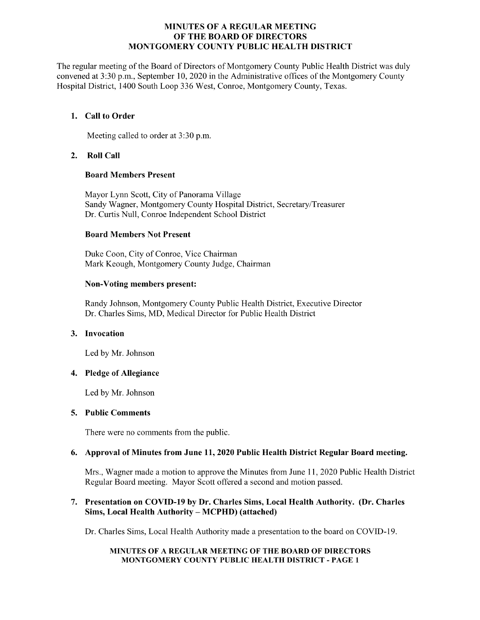## MINUTES OF A REGULAR MEETING OF THE BOARD OF DIRECTORS MONTGOMERY COUNTY PUBLIC HEALTH DISTRICT

The regular meeting of the Board of Directors of Montgomery County Public Health District was duly convened at 3:30 p.m., September 10, 2020 in the Administrative offices of the Montgomery County Hospital District, 1400 South Loop 336 West, Conroe, Montgomery County, Texas.

## 1. Call to Order

Meeting called to order at 3:30 p.m.

## 2. Roll Call

## Board Members Present

Mayor Lynn Scott, City of Panorama Village Sandy Wagner, Montgomery County Hospital District, Secretary/Treasurer Dr. Curtis Null, Conroe Independent School District

#### Board Members Not Present

Duke Coon, City of Conroe, Vice Chairman Mark Keough, Montgomery County Judge, Chairman

## Non-Voting members present:

Randy Johnson, Montgomery County Public Health District, Executive Director Dr. Charles Sims, MD, Medical Director for Public Health District

## 3. Invocation

Led by Mr. Johnson

## 4. Pledge of Allegiance

Led by Mr. Johnson

#### 5. Public Comments

There were no comments from the public.

## 6. Approval of Minutes from June 11, 2020 Public Health District Regular Board meeting.

Mrs., Wagner made a motion to approve the Minutes from June 11, 2020 Public Health District Regular Board meeting. Mayor Scott offered a second and motion passed.

## 7. Presentation on COVID-19 by Dr. Charles Sims, Local Health Authority. (Dr. Charles Sims, Local Health Authority – MCPHD) (attached)

Dr. Charles Sims, Local Health Authority made a presentation to the board on COVID-19.

#### MINUTES OF A REGULAR MEETING OF THE BOARD OF DIRECTORS MONTGOMERY COUNTY PUBLIC HEALTH DISTRICT - PAGE 1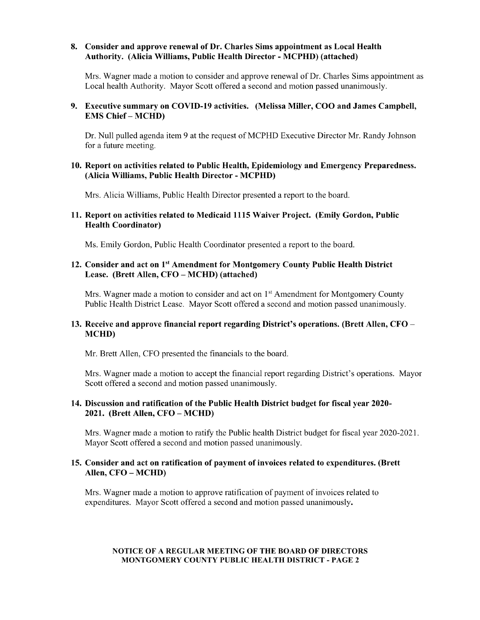#### 8. Consider and approve renewal of Dr. Charles Sims appointment as Local Health Authority. (Alicia Williams, Public Health Director - MCPHD) (attached)

Mrs. Wagner made a motion to consider and approve renewal of Dr. Charles Sims appointment as Local health Authority. Mayor Scott offered a second and motion passed unanimously.

## 9. Executive summary on COVID-19 activities. (Melissa Miller, COO and James Campbell, EMS Chief – MCHD)

Dr. Null pulled agenda item 9 at the request of MCPHD Executive Director Mr. Randy Johnson for a future meeting.

#### 10. Report on activities related to Public Health, Epidemiology and Emergency Preparedness. Alicia Williams, Public Health Director - MCPHD)

Mrs. Alicia Williams, Public Health Director presented a report to the board.

#### 11. Report on activities related to Medicaid 1115 Waiver Project. (Emily Gordon, Public Health Coordinator)

Ms. Emily Gordon, Public Health Coordinator presented a report to the board.

## 12. Consider and act on 1<sup>st</sup> Amendment for Montgomery County Public Health District Lease. (Brett Allen, CFO – MCHD) (attached)

Mrs. Wagner made a motion to consider and act on  $1<sup>st</sup>$  Amendment for Montgomery County Public Health District Lease. Mayor Scott offered a second and motion passed unanimously.

# 13. Receive and approve financial report regarding District's operations. (Brett Allen, CFO – MCHD)

Mr. Brett Allen, CFO presented the financials to the board.

Mrs. Wagner made a motion to accept the financial report regarding District's operations. Mayor Scott offered a second and motion passed unanimously.

#### 14. Discussion and ratification of the Public Health District budget for fiscal year 2020- 2021. (Brett Allen, CFO – MCHD)

Mrs. Wagner made a motion to ratify the Public health District budget for fiscal year 2020-2021. Mayor Scott offered a second and motion passed unanimously.

#### 15. Consider and act on ratification of payment of invoices related to expenditures. (Brett Allen, CFO – MCHD)

Mrs. Wagner made a motion to approve ratification of payment of invoices related to expenditures. Mayor Scott offered a second and motion passed unanimously.

#### NOTICE OF A REGULAR MEETING OF THE BOARD OF DIRECTORS MONTGOMERY COUNTY PUBLIC HEALTH DISTRICT - PAGE 2